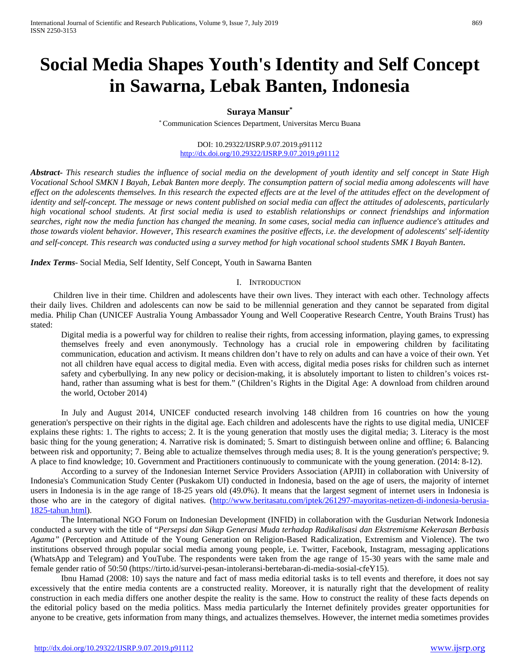# **Social Media Shapes Youth's Identity and Self Concept in Sawarna, Lebak Banten, Indonesia**

# **Suraya Mansur\***

\* Communication Sciences Department, Universitas Mercu Buana

#### DOI: 10.29322/IJSRP.9.07.2019.p91112 <http://dx.doi.org/10.29322/IJSRP.9.07.2019.p91112>

*Abstract***-** *This research studies the influence of social media on the development of youth identity and self concept in State High Vocational School SMKN I Bayah, Lebak Banten more deeply. The consumption pattern of social media among adolescents will have*  effect on the adolescents themselves. In this research the expected effects are at the level of the attitudes effect on the development of *identity and self-concept. The message or news content published on social media can affect the attitudes of adolescents, particularly high vocational school students. At first social media is used to establish relationships or connect friendships and information searches, right now the media function has changed the meaning. In some cases, social media can influence audience's attitudes and those towards violent behavior. However, This research examines the positive effects, i.e. the development of adolescents' self-identity and self-concept. This research was conducted using a survey method for high vocational school students SMK I Bayah Banten.*

*Index Terms*- Social Media, Self Identity, Self Concept, Youth in Sawarna Banten

### I. INTRODUCTION

Children live in their time. Children and adolescents have their own lives. They interact with each other. Technology affects their daily lives. Children and adolescents can now be said to be millennial generation and they cannot be separated from digital media. Philip Chan (UNICEF Australia Young Ambassador Young and Well Cooperative Research Centre, Youth Brains Trust) has stated:

Digital media is a powerful way for children to realise their rights, from accessing information, playing games, to expressing themselves freely and even anonymously. Technology has a crucial role in empowering children by facilitating communication, education and activism. It means children don't have to rely on adults and can have a voice of their own. Yet not all children have equal access to digital media. Even with access, digital media poses risks for children such as internet safety and cyberbullying. In any new policy or decision-making, it is absolutely important to listen to children's voices rsthand, rather than assuming what is best for them." (Children's Rights in the Digital Age: A download from children around the world, October 2014)

In July and August 2014, UNICEF conducted research involving 148 children from 16 countries on how the young generation's perspective on their rights in the digital age. Each children and adolescents have the rights to use digital media, UNICEF explains these rights: 1. The rights to access; 2. It is the young generation that mostly uses the digital media; 3. Literacy is the most basic thing for the young generation; 4. Narrative risk is dominated; 5. Smart to distinguish between online and offline; 6. Balancing between risk and opportunity; 7. Being able to actualize themselves through media uses; 8. It is the young generation's perspective; 9. A place to find knowledge; 10. Government and Practitioners continuously to communicate with the young generation. (2014: 8-12).

According to a survey of the Indonesian Internet Service Providers Association (APJII) in collaboration with University of Indonesia's Communication Study Center (Puskakom UI) conducted in Indonesia, based on the age of users, the majority of internet users in Indonesia is in the age range of 18-25 years old (49.0%). It means that the largest segment of internet users in Indonesia is those who are in the category of digital natives. [\(http://www.beritasatu.com/iptek/261297-mayoritas-netizen-di-indonesia-berusia-](http://www.beritasatu.com/iptek/261297-mayoritas-netizen-di-indonesia-berusia-1825-tahun.html)[1825-tahun.html\)](http://www.beritasatu.com/iptek/261297-mayoritas-netizen-di-indonesia-berusia-1825-tahun.html).

The International NGO Forum on Indonesian Development (INFID) in collaboration with the Gusdurian Network Indonesia conducted a survey with the title of "*Persepsi dan Sikap Generasi Muda terhadap Radikalisasi dan Ekstremisme Kekerasan Berbasis Agama"* (Perception and Attitude of the Young Generation on Religion-Based Radicalization, Extremism and Violence). The two institutions observed through popular social media among young people, i.e. Twitter, Facebook, Instagram, messaging applications (WhatsApp and Telegram) and YouTube. The respondents were taken from the age range of 15-30 years with the same male and female gender ratio of 50:50 (https://tirto.id/survei-pesan-intoleransi-bertebaran-di-media-sosial-cfeY15).

Ibnu Hamad (2008: 10) says the nature and fact of mass media editorial tasks is to tell events and therefore, it does not say excessively that the entire media contents are a constructed reality. Moreover, it is naturally right that the development of reality construction in each media differs one another despite the reality is the same. How to construct the reality of these facts depends on the editorial policy based on the media politics. Mass media particularly the Internet definitely provides greater opportunities for anyone to be creative, gets information from many things, and actualizes themselves. However, the internet media sometimes provides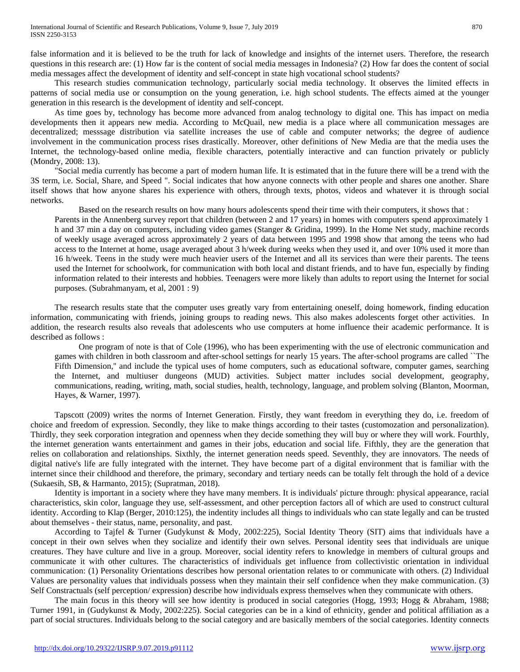false information and it is believed to be the truth for lack of knowledge and insights of the internet users. Therefore, the research questions in this research are: (1) How far is the content of social media messages in Indonesia? (2) How far does the content of social media messages affect the development of identity and self-concept in state high vocational school students?

This research studies communication technology, particularly social media technology. It observes the limited effects in patterns of social media use or consumption on the young generation, i.e. high school students. The effects aimed at the younger generation in this research is the development of identity and self-concept.

As time goes by, technology has become more advanced from analog technology to digital one. This has impact on media developments then it appears new media. According to McQuail, new media is a place where all communication messages are decentralized; messsage distribution via satellite increases the use of cable and computer networks; the degree of audience involvement in the communication process rises drastically. Moreover, other definitions of New Media are that the media uses the Internet, the technology-based online media, flexible characters, potentially interactive and can function privately or publicly (Mondry, 2008: 13).

"Social media currently has become a part of modern human life. It is estimated that in the future there will be a trend with the 3S term, i.e. Social, Share, and Speed ". Social indicates that how anyone connects with other people and shares one another. Share itself shows that how anyone shares his experience with others, through texts, photos, videos and whatever it is through social networks.

Based on the research results on how many hours adolescents spend their time with their computers, it shows that :

Parents in the Annenberg survey report that children (between 2 and 17 years) in homes with computers spend approximately 1 h and 37 min a day on computers, including video games (Stanger & Gridina, 1999). In the Home Net study, machine records of weekly usage averaged across approximately 2 years of data between 1995 and 1998 show that among the teens who had access to the Internet at home, usage averaged about 3 h/week during weeks when they used it, and over 10% used it more than 16 h/week. Teens in the study were much heavier users of the Internet and all its services than were their parents. The teens used the Internet for schoolwork, for communication with both local and distant friends, and to have fun, especially by finding information related to their interests and hobbies. Teenagers were more likely than adults to report using the Internet for social purposes. (Subrahmanyam, et al, 2001 : 9)

The research results state that the computer uses greatly vary from entertaining oneself, doing homework, finding education information, communicating with friends, joining groups to reading news. This also makes adolescents forget other activities. In addition, the research results also reveals that adolescents who use computers at home influence their academic performance. It is described as follows :

One program of note is that of Cole (1996), who has been experimenting with the use of electronic communication and games with children in both classroom and after-school settings for nearly 15 years. The after-school programs are called ``The Fifth Dimension,'' and include the typical uses of home computers, such as educational software, computer games, searching the Internet, and multiuser dungeons (MUD) activities. Subject matter includes social development, geography, communications, reading, writing, math, social studies, health, technology, language, and problem solving (Blanton, Moorman, Hayes, & Warner, 1997).

Tapscott (2009) writes the norms of Internet Generation. Firstly, they want freedom in everything they do, i.e. freedom of choice and freedom of expression. Secondly, they like to make things according to their tastes (customozation and personalization). Thirdly, they seek corporation integration and openness when they decide something they will buy or where they will work. Fourthly, the internet generation wants entertainment and games in their jobs, education and social life. Fifthly, they are the generation that relies on collaboration and relationships. Sixthly, the internet generation needs speed. Seventhly, they are innovators. The needs of digital native's life are fully integrated with the internet. They have become part of a digital environment that is familiar with the internet since their childhood and therefore, the primary, secondary and tertiary needs can be totally felt through the hold of a device (Sukaesih, SB, & Harmanto, 2015); (Supratman, 2018).

Identity is important in a society where they have many members. It is individuals' picture through: physical appearance, racial characteristics, skin color, language they use, self-assessment, and other perception factors all of which are used to construct cultural identity. According to Klap (Berger, 2010:125), the indentity includes all things to individuals who can state legally and can be trusted about themselves - their status, name, personality, and past.

According to Tajfel & Turner (Gudykunst & Mody, 2002:225), Social Identity Theory (SIT) aims that individuals have a concept in their own selves when they socialize and identify their own selves. Personal identity sees that individuals are unique creatures. They have culture and live in a group. Moreover, social identity refers to knowledge in members of cultural groups and communicate it with other cultures. The characteristics of individuals get influence from collectivistic orientation in individual communication: (1) Personality Orientations describes how personal orientation relates to or communicate with others. (2) Individual Values are personality values that individuals possess when they maintain their self confidence when they make communication. (3) Self Constractuals (self perception/ expression) describe how individuals express themselves when they communicate with others.

The main focus in this theory will see how identity is produced in social categories (Hogg, 1993; Hogg & Abraham, 1988; Turner 1991, in (Gudykunst & Mody, 2002:225). Social categories can be in a kind of ethnicity, gender and political affiliation as a part of social structures. Individuals belong to the social category and are basically members of the social categories. Identity connects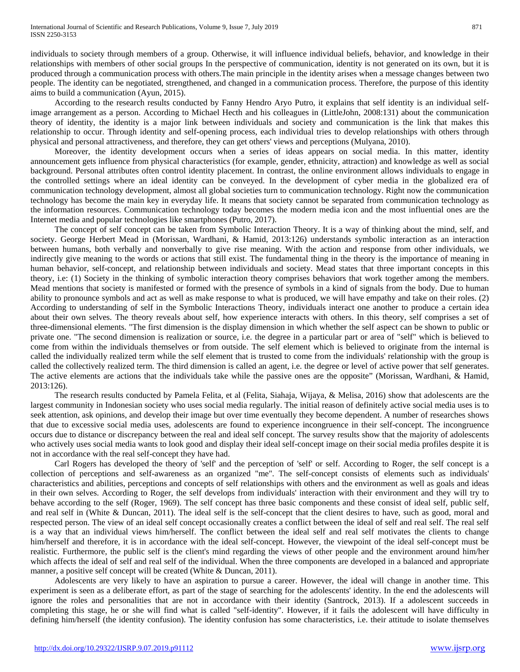individuals to society through members of a group. Otherwise, it will influence individual beliefs, behavior, and knowledge in their relationships with members of other social groups In the perspective of communication, identity is not generated on its own, but it is produced through a communication process with others.The main principle in the identity arises when a message changes between two people. The identity can be negotiated, strengthened, and changed in a communication process. Therefore, the purpose of this identity aims to build a communication (Ayun, 2015).

According to the research results conducted by Fanny Hendro Aryo Putro, it explains that self identity is an individual selfimage arrangement as a person. According to Michael Hecth and his colleagues in (LittleJohn, 2008:131) about the communication theory of identity, the identity is a major link between individuals and society and communication is the link that makes this relationship to occur. Through identity and self-opening process, each individual tries to develop relationships with others through physical and personal attractiveness, and therefore, they can get others' views and perceptions (Mulyana, 2010).

Moreover, the identity development occurs when a series of ideas appears on social media. In this matter, identity announcement gets influence from physical characteristics (for example, gender, ethnicity, attraction) and knowledge as well as social background. Personal attributes often control identity placement. In contrast, the online environment allows individuals to engage in the controlled settings where an ideal identity can be conveyed. In the development of cyber media in the globalized era of communication technology development, almost all global societies turn to communication technology. Right now the communication technology has become the main key in everyday life. It means that society cannot be separated from communication technology as the information resources. Communication technology today becomes the modern media icon and the most influential ones are the Internet media and popular technologies like smartphones (Putro, 2017).

The concept of self concept can be taken from Symbolic Interaction Theory. It is a way of thinking about the mind, self, and society. George Herbert Mead in (Morissan, Wardhani, & Hamid, 2013:126) understands symbolic interaction as an interaction between humans, both verbally and nonverbally to give rise meaning. With the action and response from other individuals, we indirectly give meaning to the words or actions that still exist. The fundamental thing in the theory is the importance of meaning in human behavior, self-concept, and relationship between individuals and society. Mead states that three important concepts in this theory, i.e: (1) Society in the thinking of symbolic interaction theory comprises behaviors that work together among the members. Mead mentions that society is manifested or formed with the presence of symbols in a kind of signals from the body. Due to human ability to pronounce symbols and act as well as make response to what is produced, we will have empathy and take on their roles. (2) According to understanding of self in the Symbolic Interactions Theory, individuals interact one another to produce a certain idea about their own selves. The theory reveals about self, how experience interacts with others. In this theory, self comprises a set of three-dimensional elements. "The first dimension is the display dimension in which whether the self aspect can be shown to public or private one. "The second dimension is realization or source, i.e. the degree in a particular part or area of "self" which is believed to come from within the individuals themselves or from outside. The self element which is believed to originate from the internal is called the individually realized term while the self element that is trusted to come from the individuals' relationship with the group is called the collectively realized term. The third dimension is called an agent, i.e. the degree or level of active power that self generates. The active elements are actions that the individuals take while the passive ones are the opposite" (Morissan, Wardhani, & Hamid, 2013:126).

The research results conducted by Pamela Felita, et al (Felita, Siahaja, Wijaya, & Melisa, 2016) show that adolescents are the largest community in Indonesian society who uses social media regularly. The initial reason of definitely active social media uses is to seek attention, ask opinions, and develop their image but over time eventually they become dependent. A number of researches shows that due to excessive social media uses, adolescents are found to experience incongruence in their self-concept. The incongruence occurs due to distance or discrepancy between the real and ideal self concept. The survey results show that the majority of adolescents who actively uses social media wants to look good and display their ideal self-concept image on their social media profiles despite it is not in accordance with the real self-concept they have had.

Carl Rogers has developed the theory of 'self' and the perception of 'self' or self. According to Roger, the self concept is a collection of perceptions and self-awareness as an organized "me". The self-concept consists of elements such as individuals' characteristics and abilities, perceptions and concepts of self relationships with others and the environment as well as goals and ideas in their own selves. According to Roger, the self develops from individuals' interaction with their environment and they will try to behave according to the self (Roger, 1969). The self concept has three basic components and these consist of ideal self, public self, and real self in (White & Duncan, 2011). The ideal self is the self-concept that the client desires to have, such as good, moral and respected person. The view of an ideal self concept occasionally creates a conflict between the ideal of self and real self. The real self is a way that an individual views him/herself. The conflict between the ideal self and real self motivates the clients to change him/herself and therefore, it is in accordance with the ideal self-concept. However, the viewpoint of the ideal self-concept must be realistic. Furthermore, the public self is the client's mind regarding the views of other people and the environment around him/her which affects the ideal of self and real self of the individual. When the three components are developed in a balanced and appropriate manner, a positive self concept will be created (White & Duncan, 2011).

Adolescents are very likely to have an aspiration to pursue a career. However, the ideal will change in another time. This experiment is seen as a deliberate effort, as part of the stage of searching for the adolescents' identity. In the end the adolescents will ignore the roles and personalities that are not in accordance with their identity (Santrock, 2013). If a adolescent succeeds in completing this stage, he or she will find what is called "self-identity". However, if it fails the adolescent will have difficulty in defining him/herself (the identity confusion). The identity confusion has some characteristics, i.e. their attitude to isolate themselves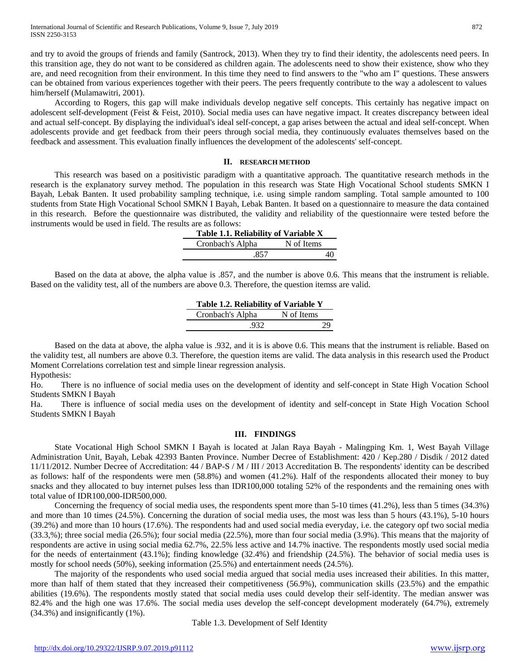and try to avoid the groups of friends and family (Santrock, 2013). When they try to find their identity, the adolescents need peers. In this transition age, they do not want to be considered as children again. The adolescents need to show their existence, show who they are, and need recognition from their environment. In this time they need to find answers to the "who am I" questions. These answers can be obtained from various experiences together with their peers. The peers frequently contribute to the way a adolescent to values him/herself (Mulamawitri, 2001).

According to Rogers, this gap will make individuals develop negative self concepts. This certainly has negative impact on adolescent self-development (Feist & Feist, 2010). Social media uses can have negative impact. It creates discrepancy between ideal and actual self-concept. By displaying the individual's ideal self-concept, a gap arises between the actual and ideal self-concept. When adolescents provide and get feedback from their peers through social media, they continuously evaluates themselves based on the feedback and assessment. This evaluation finally influences the development of the adolescents' self-concept.

#### **II. RESEARCH METHOD**

This research was based on a positivistic paradigm with a quantitative approach. The quantitative research methods in the research is the explanatory survey method. The population in this research was State High Vocational School students SMKN I Bayah, Lebak Banten. It used probability sampling technique, i.e. using simple random sampling. Total sample amounted to 100 students from State High Vocational School SMKN I Bayah, Lebak Banten. It based on a questionnaire to measure the data contained in this research. Before the questionnaire was distributed, the validity and reliability of the questionnaire were tested before the instruments would be used in field. The results are as follows:

| Table 1.1. Reliability of Variable X |            |
|--------------------------------------|------------|
| Cronbach's Alpha                     | N of Items |
| -857                                 |            |

Based on the data at above, the alpha value is .857, and the number is above 0.6. This means that the instrument is reliable. Based on the validity test, all of the numbers are above 0.3. Therefore, the question itemss are valid.

| Table 1.2. Reliability of Variable Y |            |  |  |  |  |
|--------------------------------------|------------|--|--|--|--|
| Cronbach's Alpha                     | N of Items |  |  |  |  |
| .932                                 | 29         |  |  |  |  |

Based on the data at above, the alpha value is .932, and it is is above 0.6. This means that the instrument is reliable. Based on the validity test, all numbers are above 0.3. Therefore, the question items are valid. The data analysis in this research used the Product Moment Correlations correlation test and simple linear regression analysis. Hypothesis:

Ho. There is no influence of social media uses on the development of identity and self-concept in State High Vocation School Students SMKN I Bayah

Ha. There is influence of social media uses on the development of identity and self-concept in State High Vocation School Students SMKN I Bayah

# **III. FINDINGS**

State Vocational High School SMKN I Bayah is located at Jalan Raya Bayah - Malingping Km. 1, West Bayah Village Administration Unit, Bayah, Lebak 42393 Banten Province. Number Decree of Establishment: 420 / Kep.280 / Disdik / 2012 dated 11/11/2012. Number Decree of Accreditation: 44 / BAP-S / M / III / 2013 Accreditation B. The respondents' identity can be described as follows: half of the respondents were men (58.8%) and women (41.2%). Half of the respondents allocated their money to buy snacks and they allocated to buy internet pulses less than IDR100,000 totaling 52% of the respondents and the remaining ones with total value of IDR100,000-IDR500,000.

Concerning the frequency of social media uses, the respondents spent more than 5-10 times (41.2%), less than 5 times (34.3%) and more than 10 times (24.5%). Concerning the duration of social media uses, the most was less than 5 hours (43.1%), 5-10 hours (39.2%) and more than 10 hours (17.6%). The respondents had and used social media everyday, i.e. the category opf two social media (33.3,%); three social media (26.5%); four social media (22.5%), more than four social media (3.9%). This means that the majority of respondents are active in using social media 62.7%, 22.5% less active and 14.7% inactive. The respondents mostly used social media for the needs of entertainment (43.1%); finding knowledge (32.4%) and friendship (24.5%). The behavior of social media uses is mostly for school needs (50%), seeking information (25.5%) and entertainment needs (24.5%).

The majority of the respondents who used social media argued that social media uses increased their abilities. In this matter, more than half of them stated that they increased their competitiveness (56.9%), communication skills (23.5%) and the empathic abilities (19.6%). The respondents mostly stated that social media uses could develop their self-identity. The median answer was 82.4% and the high one was 17.6%. The social media uses develop the self-concept development moderately (64.7%), extremely (34.3%) and insignificantly (1%).

Table 1.3. Development of Self Identity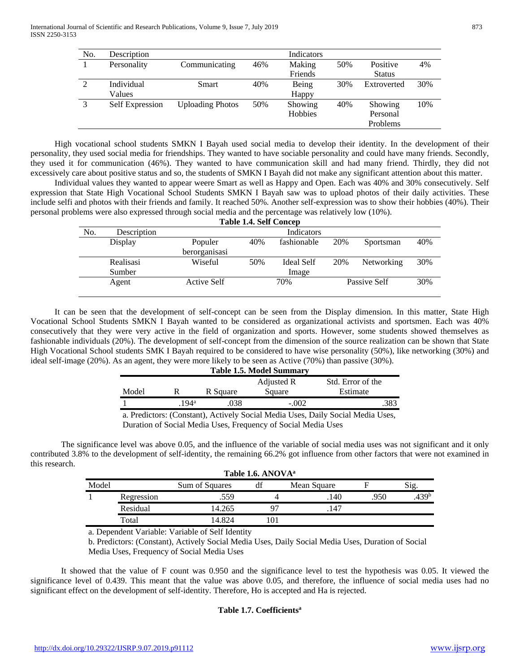| No. | Description            |                         |     | Indicators |     |               |     |
|-----|------------------------|-------------------------|-----|------------|-----|---------------|-----|
|     | Personality            | Communicating           | 46% | Making     | 50% | Positive      | 4%  |
|     |                        |                         |     | Friends    |     | <b>Status</b> |     |
| 2   | Individual             | Smart                   | 40% | Being      | 30% | Extroverted   | 30% |
|     | Values                 |                         |     | Happy      |     |               |     |
| 3   | <b>Self Expression</b> | <b>Uploading Photos</b> | 50% | Showing    | 40% | Showing       | 10% |
|     |                        |                         |     | Hobbies    |     | Personal      |     |
|     |                        |                         |     |            |     | Problems      |     |

High vocational school students SMKN I Bayah used social media to develop their identity. In the development of their personality, they used social media for friendships. They wanted to have sociable personality and could have many friends. Secondly, they used it for communication (46%). They wanted to have communication skill and had many friend. Thirdly, they did not excessively care about positive status and so, the students of SMKN I Bayah did not make any significant attention about this matter.

Individual values they wanted to appear weere Smart as well as Happy and Open. Each was 40% and 30% consecutively. Self expression that State High Vocational School Students SMKN I Bayah saw was to upload photos of their daily activities. These include selfi and photos with their friends and family. It reached 50%. Another self-expression was to show their hobbies (40%). Their personal problems were also expressed through social media and the percentage was relatively low (10%).

|     | <b>Table 1.4. Self Concep</b> |               |            |             |              |            |     |  |
|-----|-------------------------------|---------------|------------|-------------|--------------|------------|-----|--|
| No. | Description                   |               | Indicators |             |              |            |     |  |
|     | Display                       | Populer       | 40%        | fashionable | 20%          | Sportsman  | 40% |  |
|     |                               | berorganisasi |            |             |              |            |     |  |
|     | Realisasi                     | Wiseful       | 50%        | Ideal Self  | 20%          | Networking | 30% |  |
|     | Sumber                        |               |            | Image       |              |            |     |  |
|     | Agent                         | Active Self   | 70%        |             | Passive Self | 30%        |     |  |

It can be seen that the development of self-concept can be seen from the Display dimension. In this matter, State High Vocational School Students SMKN I Bayah wanted to be considered as organizational activists and sportsmen. Each was 40% consecutively that they were very active in the field of organization and sports. However, some students showed themselves as fashionable individuals (20%). The development of self-concept from the dimension of the source realization can be shown that State High Vocational School students SMK I Bayah required to be considered to have wise personality (50%), like networking (30%) and ideal self-image (20%). As an agent, they were more likely to be seen as Active (70%) than passive (30%).

| <b>Table 1.5. Model Summary</b>                                                 |               |          |         |          |  |  |  |
|---------------------------------------------------------------------------------|---------------|----------|---------|----------|--|--|--|
| Std. Error of the<br>Adjusted R                                                 |               |          |         |          |  |  |  |
| Model                                                                           |               | R Square | Square  | Estimate |  |  |  |
|                                                                                 | $194^{\rm a}$ | .038     | $-.002$ | .383     |  |  |  |
| a. Predictors: (Constant), Actively Social Media Uses, Daily Social Media Uses, |               |          |         |          |  |  |  |

Duration of Social Media Uses, Frequency of Social Media Uses

The significance level was above 0.05, and the influence of the variable of social media uses was not significant and it only contributed 3.8% to the development of self-identity, the remaining 66.2% got influence from other factors that were not examined in this research.

|       | Table 1.6. ANOVA <sup>a</sup> |                |    |             |      |                   |  |  |  |
|-------|-------------------------------|----------------|----|-------------|------|-------------------|--|--|--|
| Model |                               | Sum of Squares |    | Mean Square |      | $\mathrm{S1g}$ .  |  |  |  |
|       | Regression                    | .559           |    | 140         | .950 | .439 <sup>b</sup> |  |  |  |
|       | Residual                      | 14.265         | 97 | 147         |      |                   |  |  |  |
|       | Total                         | 14.824         | 01 |             |      |                   |  |  |  |
|       |                               |                |    |             |      |                   |  |  |  |

a. Dependent Variable: Variable of Self Identity

b. Predictors: (Constant), Actively Social Media Uses, Daily Social Media Uses, Duration of Social Media Uses, Frequency of Social Media Uses

It showed that the value of F count was 0.950 and the significance level to test the hypothesis was 0.05. It viewed the significance level of 0.439. This meant that the value was above 0.05, and therefore, the influence of social media uses had no significant effect on the development of self-identity. Therefore, Ho is accepted and Ha is rejected.

# **Table 1.7. Coefficientsa**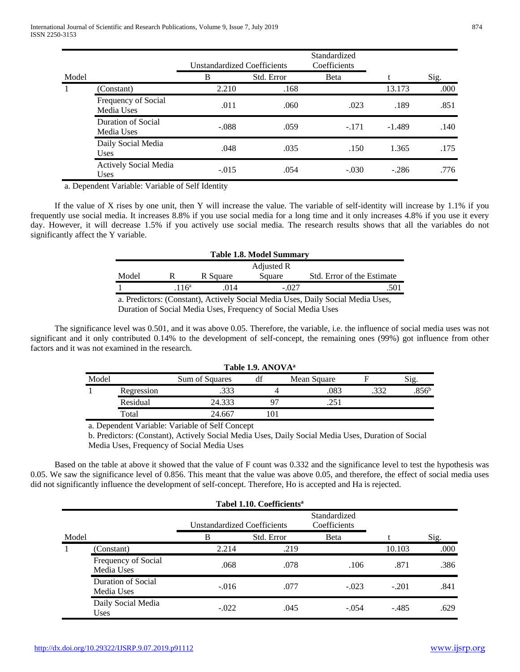|       |                                             | <b>Unstandardized Coefficients</b> |            | Standardized<br>Coefficients |          |      |
|-------|---------------------------------------------|------------------------------------|------------|------------------------------|----------|------|
| Model |                                             | B                                  | Std. Error | Beta                         |          | Sig. |
| 1     | (Constant)                                  | 2.210                              | .168       |                              | 13.173   | .000 |
|       | Frequency of Social<br>Media Uses           | .011                               | .060       | .023                         | .189     | .851 |
|       | Duration of Social<br>Media Uses            | $-.088$                            | .059       | $-.171$                      | $-1.489$ | .140 |
|       | Daily Social Media<br><b>Uses</b>           | .048                               | .035       | .150                         | 1.365    | .175 |
|       | <b>Actively Social Media</b><br><b>Uses</b> | $-.015$                            | .054       | $-.030$                      | $-.286$  | .776 |

a. Dependent Variable: Variable of Self Identity

If the value of X rises by one unit, then Y will increase the value. The variable of self-identity will increase by 1.1% if you frequently use social media. It increases 8.8% if you use social media for a long time and it only increases 4.8% if you use it every day. However, it will decrease 1.5% if you actively use social media. The research results shows that all the variables do not significantly affect the Y variable.

| <b>Table 1.8. Model Summary</b>                                                          |                  |          |        |                            |  |  |
|------------------------------------------------------------------------------------------|------------------|----------|--------|----------------------------|--|--|
| Adjusted R                                                                               |                  |          |        |                            |  |  |
| Model                                                                                    |                  | R Square | Square | Std. Error of the Estimate |  |  |
|                                                                                          | 116 <sup>a</sup> | 014      | - 027  |                            |  |  |
| $\sim$ Deciminations (Constant) Autivalia Contained in Home. Dollar Contained Modia Home |                  |          |        |                            |  |  |

a. Predictors: (Constant), Actively Social Media Uses, Daily Social Media Uses,

Duration of Social Media Uses, Frequency of Social Media Uses

The significance level was 0.501, and it was above 0.05. Therefore, the variable, i.e. the influence of social media uses was not significant and it only contributed 0.14% to the development of self-concept, the remaining ones (99%) got influence from other factors and it was not examined in the research.

|       | Table 1.9. ANOVA <sup>a</sup> |                |    |             |  |                   |  |  |  |
|-------|-------------------------------|----------------|----|-------------|--|-------------------|--|--|--|
| Model |                               | Sum of Squares |    | Mean Square |  | Sig.              |  |  |  |
|       | Regression                    | .333           |    | .083        |  | .856 <sup>b</sup> |  |  |  |
|       | Residual                      | 24.333         | Ω7 | 251         |  |                   |  |  |  |
|       | Total                         | 24.667         |    |             |  |                   |  |  |  |

a. Dependent Variable: Variable of Self Concept

b. Predictors: (Constant), Actively Social Media Uses, Daily Social Media Uses, Duration of Social Media Uses, Frequency of Social Media Uses

Based on the table at above it showed that the value of F count was 0.332 and the significance level to test the hypothesis was 0.05. We saw the significance level of 0.856. This meant that the value was above 0.05, and therefore, the effect of social media uses did not significantly influence the development of self-concept. Therefore, Ho is accepted and Ha is rejected.

|       | Tabel 1.10. Coefficients <sup>a</sup> |                                    |            |                              |         |      |  |  |
|-------|---------------------------------------|------------------------------------|------------|------------------------------|---------|------|--|--|
|       |                                       | <b>Unstandardized Coefficients</b> |            | Standardized<br>Coefficients |         |      |  |  |
| Model |                                       | B                                  | Std. Error | <b>B</b> eta                 |         | Sig. |  |  |
|       | (Constant)                            | 2.214                              | .219       |                              | 10.103  | .000 |  |  |
|       | Frequency of Social<br>Media Uses     | .068                               | .078       | .106                         | .871    | .386 |  |  |
|       | Duration of Social<br>Media Uses      | $-.016$                            | .077       | $-.023$                      | $-.201$ | .841 |  |  |
|       | Daily Social Media<br><b>Uses</b>     | $-.022$                            | .045       | $-.054$                      | $-.485$ | .629 |  |  |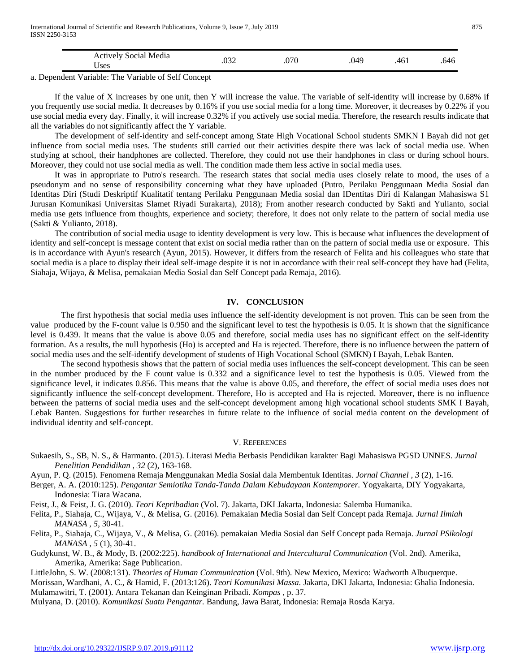|        | Med <sub>18</sub><br>Noc191<br><b>ACU</b><br>ses       | . |  |  |
|--------|--------------------------------------------------------|---|--|--|
| $\sim$ | 0.0120<br>--<br>$\mathbf{v}$<br>$\mathbf{v}$<br>.<br>. |   |  |  |

a. Dependent Variable: The Variable of Self Concept

If the value of X increases by one unit, then Y will increase the value. The variable of self-identity will increase by 0.68% if you frequently use social media. It decreases by 0.16% if you use social media for a long time. Moreover, it decreases by 0.22% if you use social media every day. Finally, it will increase 0.32% if you actively use social media. Therefore, the research results indicate that all the variables do not significantly affect the Y variable.

The development of self-identity and self-concept among State High Vocational School students SMKN I Bayah did not get influence from social media uses. The students still carried out their activities despite there was lack of social media use. When studying at school, their handphones are collected. Therefore, they could not use their handphones in class or during school hours. Moreover, they could not use social media as well. The condition made them less active in social media uses.

It was in appropriate to Putro's research. The research states that social media uses closely relate to mood, the uses of a pseudonym and no sense of responsibility concerning what they have uploaded (Putro, Perilaku Penggunaan Media Sosial dan Identitas Diri (Studi Deskriptif Kualitatif tentang Perilaku Penggunaan Media sosial dan IDentitas Diri di Kalangan Mahasiswa S1 Jurusan Komunikasi Universitas Slamet Riyadi Surakarta), 2018); From another research conducted by Sakti and Yulianto, social media use gets influence from thoughts, experience and society; therefore, it does not only relate to the pattern of social media use (Sakti & Yulianto, 2018).

The contribution of social media usage to identity development is very low. This is because what influences the development of identity and self-concept is message content that exist on social media rather than on the pattern of social media use or exposure. This is in accordance with Ayun's research (Ayun, 2015). However, it differs from the research of Felita and his colleagues who state that social media is a place to display their ideal self-image despite it is not in accordance with their real self-concept they have had (Felita, Siahaja, Wijaya, & Melisa, pemakaian Media Sosial dan Self Concept pada Remaja, 2016).

## **IV. CONCLUSION**

The first hypothesis that social media uses influence the self-identity development is not proven. This can be seen from the value produced by the F-count value is 0.950 and the significant level to test the hypothesis is 0.05. It is shown that the significance level is 0.439. It means that the value is above 0.05 and therefore, social media uses has no significant effect on the self-identity formation. As a results, the null hypothesis (Ho) is accepted and Ha is rejected. Therefore, there is no influence between the pattern of social media uses and the self-identify development of students of High Vocational School (SMKN) I Bayah, Lebak Banten.

The second hypothesis shows that the pattern of social media uses influences the self-concept development. This can be seen in the number produced by the F count value is 0.332 and a significance level to test the hypothesis is 0.05. Viewed from the significance level, it indicates 0.856. This means that the value is above 0.05, and therefore, the effect of social media uses does not significantly influence the self-concept development. Therefore, Ho is accepted and Ha is rejected. Moreover, there is no influence between the patterns of social media uses and the self-concept development among high vocational school students SMK I Bayah, Lebak Banten. Suggestions for further researches in future relate to the influence of social media content on the development of individual identity and self-concept.

### V. REFERENCES

- Sukaesih, S., SB, N. S., & Harmanto. (2015). Literasi Media Berbasis Pendidikan karakter Bagi Mahasiswa PGSD UNNES. *Jurnal Penelitian Pendidikan , 32* (2), 163-168.
- Ayun, P. Q. (2015). Fenomena Remaja Menggunakan Media Sosial dala Membentuk Identitas. *Jornal Channel , 3* (2), 1-16.
- Berger, A. A. (2010:125). *Pengantar Semiotika Tanda-Tanda Dalam Kebudayaan Kontemporer.* Yogyakarta, DIY Yogyakarta, Indonesia: Tiara Wacana.

Feist, J., & Feist, J. G. (2010). *Teori Kepribadian* (Vol. 7). Jakarta, DKI Jakarta, Indonesia: Salemba Humanika.

Felita, P., Siahaja, C., Wijaya, V., & Melisa, G. (2016). Pemakaian Media Sosial dan Self Concept pada Remaja. *Jurnal Ilmiah MANASA , 5*, 30-41.

Felita, P., Siahaja, C., Wijaya, V., & Melisa, G. (2016). pemakaian Media Sosial dan Self Concept pada Remaja. *Jurnal PSikologi MANASA , 5* (1), 30-41.

Gudykunst, W. B., & Mody, B. (2002:225). *handbook of International and Intercultural Communication* (Vol. 2nd). Amerika, Amerika, Amerika: Sage Publication.

LittleJohn, S. W. (2008:131). *Theories of Human Communication* (Vol. 9th). New Mexico, Mexico: Wadworth Albuquerque.

Morissan, Wardhani, A. C., & Hamid, F. (2013:126). *Teori Komunikasi Massa.* Jakarta, DKI Jakarta, Indonesia: Ghalia Indonesia. Mulamawitri, T. (2001). Antara Tekanan dan Keinginan Pribadi. *Kompas* , p. 37.

Mulyana, D. (2010). *Komunikasi Suatu Pengantar.* Bandung, Jawa Barat, Indonesia: Remaja Rosda Karya.